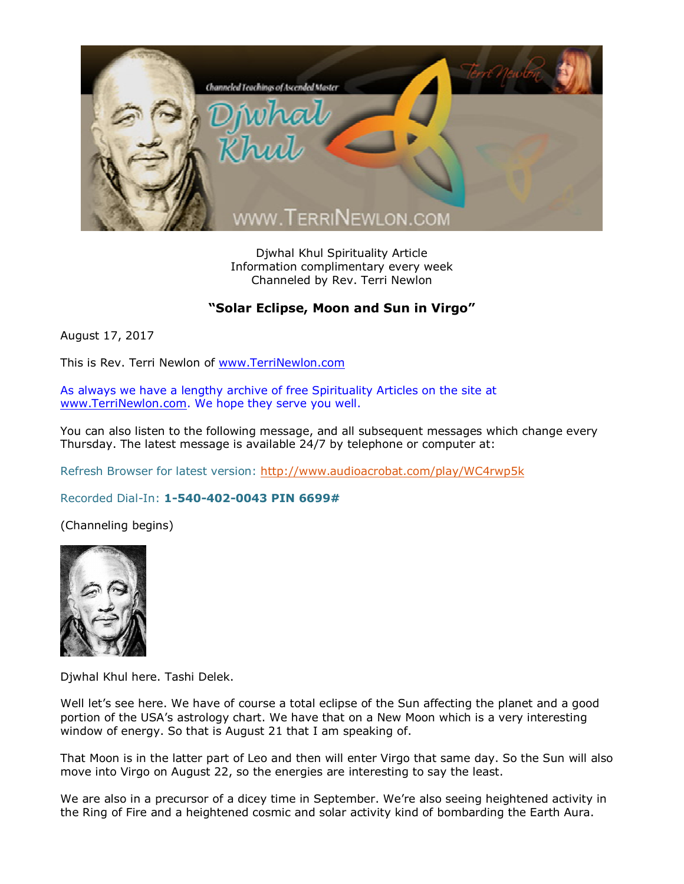

Djwhal Khul Spirituality Article Information complimentary every week Channeled by Rev. Terri Newlon

## **"Solar Eclipse, Moon and Sun in Virgo"**

August 17, 2017

This is Rev. Terri Newlon of [www.TerriNewlon.com](http://www.terrinewlon.com/)

As always we have a lengthy archive of free Spirituality Articles on the site at [www.TerriNewlon.com](http://www.terrinewlon.com/). We hope they serve you well.

You can also listen to the following message, and all subsequent messages which change every Thursday. The latest message is available 24/7 by telephone or computer at:

Refresh Browser for latest version: <http://www.audioacrobat.com/play/WC4rwp5k>

Recorded Dial-In: **1-540-402-0043 PIN 6699#**

(Channeling begins)



Djwhal Khul here. Tashi Delek.

Well let's see here. We have of course a total eclipse of the Sun affecting the planet and a good portion of the USA's astrology chart. We have that on a New Moon which is a very interesting window of energy. So that is August 21 that I am speaking of.

That Moon is in the latter part of Leo and then will enter Virgo that same day. So the Sun will also move into Virgo on August 22, so the energies are interesting to say the least.

We are also in a precursor of a dicey time in September. We're also seeing heightened activity in the Ring of Fire and a heightened cosmic and solar activity kind of bombarding the Earth Aura.